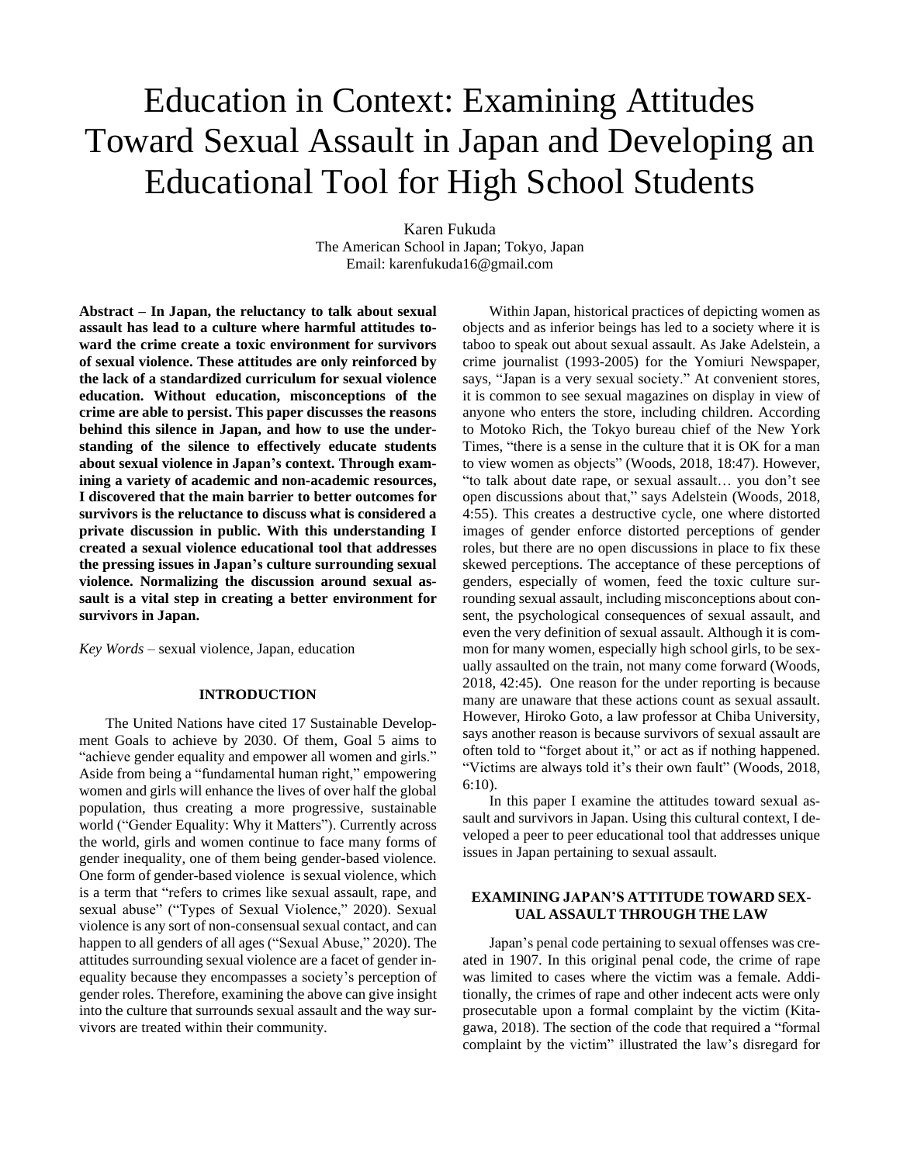# Education in Context: Examining Attitudes Toward Sexual Assault in Japan and Developing an Educational Tool for High School Students

Karen Fukuda The American School in Japan; Tokyo, Japan Email: karenfukuda16@gmail.com

**Abstract – In Japan, the reluctancy to talk about sexual assault has lead to a culture where harmful attitudes toward the crime create a toxic environment for survivors of sexual violence. These attitudes are only reinforced by the lack of a standardized curriculum for sexual violence education. Without education, misconceptions of the crime are able to persist. This paper discusses the reasons behind this silence in Japan, and how to use the understanding of the silence to effectively educate students about sexual violence in Japan's context. Through examining a variety of academic and non-academic resources, I discovered that the main barrier to better outcomes for survivors is the reluctance to discuss what is considered a private discussion in public. With this understanding I created a sexual violence educational tool that addresses the pressing issues in Japan's culture surrounding sexual violence. Normalizing the discussion around sexual assault is a vital step in creating a better environment for survivors in Japan.**

*Key Words* – sexual violence, Japan, education

## **INTRODUCTION**

The United Nations have cited 17 Sustainable Development Goals to achieve by 2030. Of them, Goal 5 aims to "achieve gender equality and empower all women and girls." Aside from being a "fundamental human right," empowering women and girls will enhance the lives of over half the global population, thus creating a more progressive, sustainable world ("Gender Equality: Why it Matters"). Currently across the world, girls and women continue to face many forms of gender inequality, one of them being gender-based violence. One form of gender-based violence is sexual violence, which is a term that "refers to crimes like sexual assault, rape, and sexual abuse" ("Types of Sexual Violence," 2020). Sexual violence is any sort of non-consensual sexual contact, and can happen to all genders of all ages ("Sexual Abuse," 2020). The attitudes surrounding sexual violence are a facet of gender inequality because they encompasses a society's perception of gender roles. Therefore, examining the above can give insight into the culture that surrounds sexual assault and the way survivors are treated within their community.

Within Japan, historical practices of depicting women as objects and as inferior beings has led to a society where it is taboo to speak out about sexual assault. As Jake Adelstein, a crime journalist (1993-2005) for the Yomiuri Newspaper, says, "Japan is a very sexual society." At convenient stores, it is common to see sexual magazines on display in view of anyone who enters the store, including children. According to Motoko Rich, the Tokyo bureau chief of the New York Times, "there is a sense in the culture that it is OK for a man to view women as objects" (Woods, 2018, 18:47). However, "to talk about date rape, or sexual assault… you don't see open discussions about that," says Adelstein (Woods, 2018, 4:55). This creates a destructive cycle, one where distorted images of gender enforce distorted perceptions of gender roles, but there are no open discussions in place to fix these skewed perceptions. The acceptance of these perceptions of genders, especially of women, feed the toxic culture surrounding sexual assault, including misconceptions about consent, the psychological consequences of sexual assault, and even the very definition of sexual assault. Although it is common for many women, especially high school girls, to be sexually assaulted on the train, not many come forward (Woods, 2018, 42:45). One reason for the under reporting is because many are unaware that these actions count as sexual assault. However, Hiroko Goto, a law professor at Chiba University, says another reason is because survivors of sexual assault are often told to "forget about it," or act as if nothing happened. "Victims are always told it's their own fault" (Woods, 2018, 6:10).

In this paper I examine the attitudes toward sexual assault and survivors in Japan. Using this cultural context, I developed a peer to peer educational tool that addresses unique issues in Japan pertaining to sexual assault.

## **EXAMINING JAPAN'S ATTITUDE TOWARD SEX-UAL ASSAULT THROUGH THE LAW**

Japan's penal code pertaining to sexual offenses was created in 1907. In this original penal code, the crime of rape was limited to cases where the victim was a female. Additionally, the crimes of rape and other indecent acts were only prosecutable upon a formal complaint by the victim (Kitagawa, 2018). The section of the code that required a "formal complaint by the victim" illustrated the law's disregard for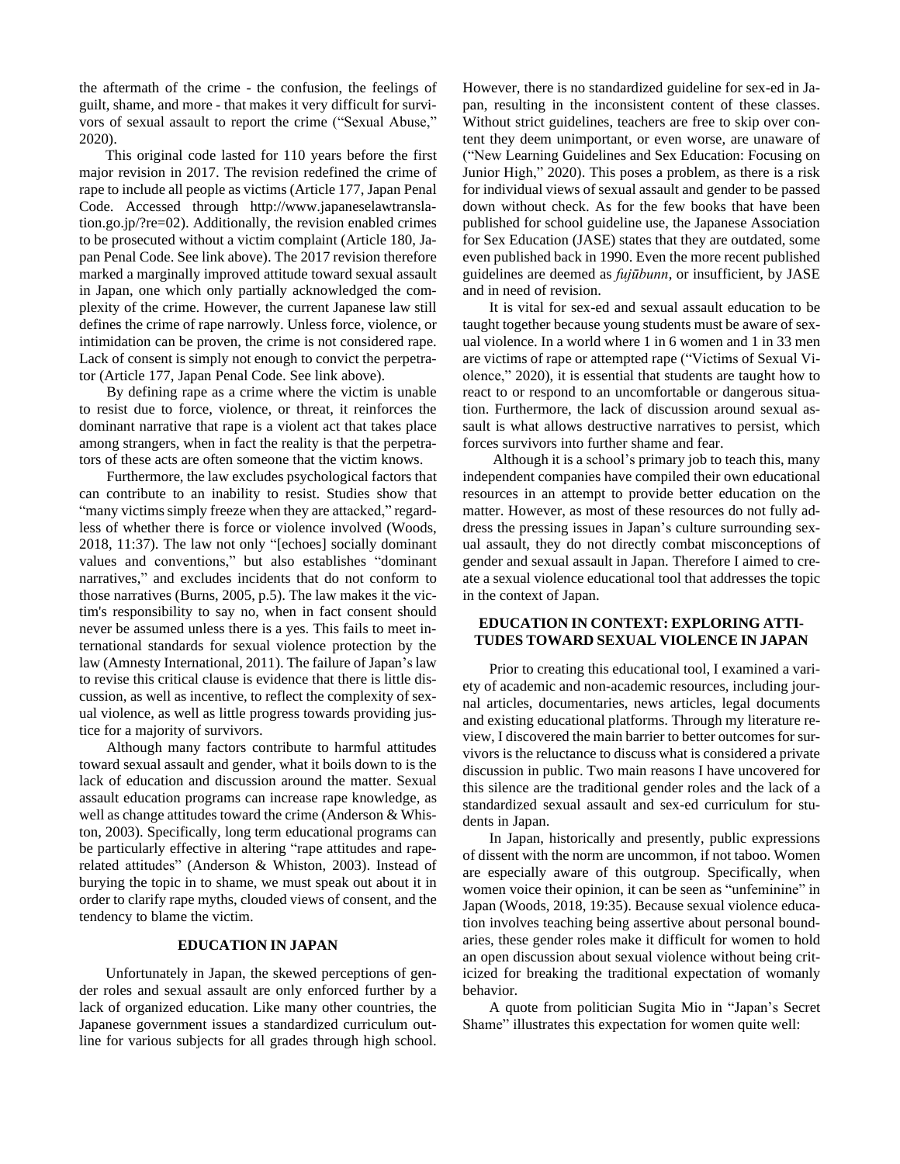the aftermath of the crime - the confusion, the feelings of guilt, shame, and more - that makes it very difficult for survivors of sexual assault to report the crime ("Sexual Abuse," 2020).

This original code lasted for 110 years before the first major revision in 2017. The revision redefined the crime of rape to include all people as victims (Article 177, Japan Penal Code. Accessed through http://www.japaneselawtranslation.go.jp/?re=02). Additionally, the revision enabled crimes to be prosecuted without a victim complaint (Article 180, Japan Penal Code. See link above). The 2017 revision therefore marked a marginally improved attitude toward sexual assault in Japan, one which only partially acknowledged the complexity of the crime. However, the current Japanese law still defines the crime of rape narrowly. Unless force, violence, or intimidation can be proven, the crime is not considered rape. Lack of consent is simply not enough to convict the perpetrator (Article 177, Japan Penal Code. See link above).

By defining rape as a crime where the victim is unable to resist due to force, violence, or threat, it reinforces the dominant narrative that rape is a violent act that takes place among strangers, when in fact the reality is that the perpetrators of these acts are often someone that the victim knows.

Furthermore, the law excludes psychological factors that can contribute to an inability to resist. Studies show that "many victims simply freeze when they are attacked," regardless of whether there is force or violence involved (Woods, 2018, 11:37). The law not only "[echoes] socially dominant values and conventions," but also establishes "dominant narratives," and excludes incidents that do not conform to those narratives (Burns, 2005, p.5). The law makes it the victim's responsibility to say no, when in fact consent should never be assumed unless there is a yes. This fails to meet international standards for sexual violence protection by the law (Amnesty International, 2011). The failure of Japan's law to revise this critical clause is evidence that there is little discussion, as well as incentive, to reflect the complexity of sexual violence, as well as little progress towards providing justice for a majority of survivors.

Although many factors contribute to harmful attitudes toward sexual assault and gender, what it boils down to is the lack of education and discussion around the matter. Sexual assault education programs can increase rape knowledge, as well as change attitudes toward the crime (Anderson & Whiston, 2003). Specifically, long term educational programs can be particularly effective in altering "rape attitudes and raperelated attitudes" (Anderson & Whiston, 2003). Instead of burying the topic in to shame, we must speak out about it in order to clarify rape myths, clouded views of consent, and the tendency to blame the victim.

## **EDUCATION IN JAPAN**

Unfortunately in Japan, the skewed perceptions of gender roles and sexual assault are only enforced further by a lack of organized education. Like many other countries, the Japanese government issues a standardized curriculum outline for various subjects for all grades through high school. However, there is no standardized guideline for sex-ed in Japan, resulting in the inconsistent content of these classes. Without strict guidelines, teachers are free to skip over content they deem unimportant, or even worse, are unaware of ("New Learning Guidelines and Sex Education: Focusing on Junior High," 2020). This poses a problem, as there is a risk for individual views of sexual assault and gender to be passed down without check. As for the few books that have been published for school guideline use, the Japanese Association for Sex Education (JASE) states that they are outdated, some even published back in 1990. Even the more recent published guidelines are deemed as *fujūbunn*, or insufficient, by JASE and in need of revision.

It is vital for sex-ed and sexual assault education to be taught together because young students must be aware of sexual violence. In a world where 1 in 6 women and 1 in 33 men are victims of rape or attempted rape ("Victims of Sexual Violence," 2020), it is essential that students are taught how to react to or respond to an uncomfortable or dangerous situation. Furthermore, the lack of discussion around sexual assault is what allows destructive narratives to persist, which forces survivors into further shame and fear.

Although it is a school's primary job to teach this, many independent companies have compiled their own educational resources in an attempt to provide better education on the matter. However, as most of these resources do not fully address the pressing issues in Japan's culture surrounding sexual assault, they do not directly combat misconceptions of gender and sexual assault in Japan. Therefore I aimed to create a sexual violence educational tool that addresses the topic in the context of Japan.

## **EDUCATION IN CONTEXT: EXPLORING ATTI-TUDES TOWARD SEXUAL VIOLENCE IN JAPAN**

Prior to creating this educational tool, I examined a variety of academic and non-academic resources, including journal articles, documentaries, news articles, legal documents and existing educational platforms. Through my literature review, I discovered the main barrier to better outcomes for survivors is the reluctance to discuss what is considered a private discussion in public. Two main reasons I have uncovered for this silence are the traditional gender roles and the lack of a standardized sexual assault and sex-ed curriculum for students in Japan.

In Japan, historically and presently, public expressions of dissent with the norm are uncommon, if not taboo. Women are especially aware of this outgroup. Specifically, when women voice their opinion, it can be seen as "unfeminine" in Japan (Woods, 2018, 19:35). Because sexual violence education involves teaching being assertive about personal boundaries, these gender roles make it difficult for women to hold an open discussion about sexual violence without being criticized for breaking the traditional expectation of womanly behavior.

A quote from politician Sugita Mio in "Japan's Secret Shame" illustrates this expectation for women quite well: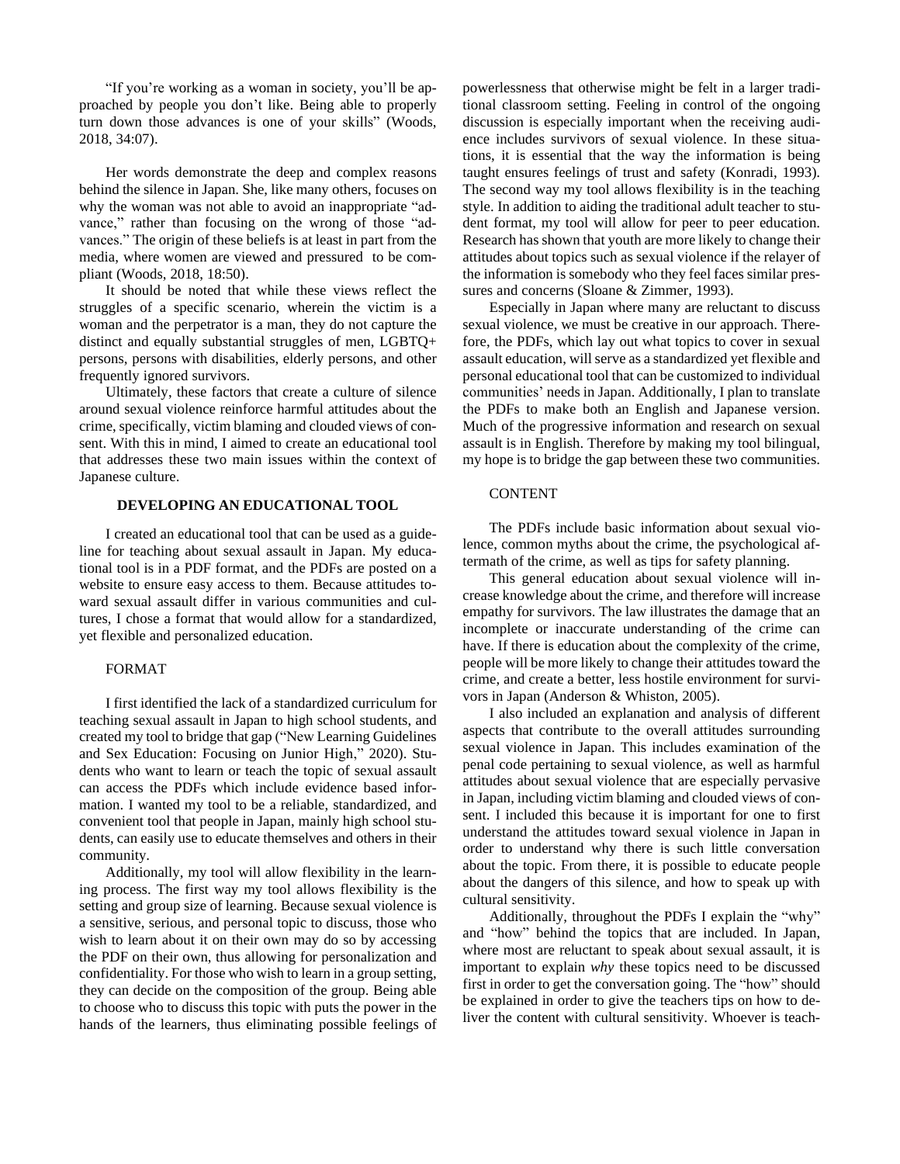"If you're working as a woman in society, you'll be approached by people you don't like. Being able to properly turn down those advances is one of your skills" (Woods, 2018, 34:07).

Her words demonstrate the deep and complex reasons behind the silence in Japan. She, like many others, focuses on why the woman was not able to avoid an inappropriate "advance," rather than focusing on the wrong of those "advances." The origin of these beliefs is at least in part from the media, where women are viewed and pressured to be compliant (Woods, 2018, 18:50).

It should be noted that while these views reflect the struggles of a specific scenario, wherein the victim is a woman and the perpetrator is a man, they do not capture the distinct and equally substantial struggles of men, LGBTQ+ persons, persons with disabilities, elderly persons, and other frequently ignored survivors.

Ultimately, these factors that create a culture of silence around sexual violence reinforce harmful attitudes about the crime, specifically, victim blaming and clouded views of consent. With this in mind, I aimed to create an educational tool that addresses these two main issues within the context of Japanese culture.

## **DEVELOPING AN EDUCATIONAL TOOL**

I created an educational tool that can be used as a guideline for teaching about sexual assault in Japan. My educational tool is in a PDF format, and the PDFs are posted on a website to ensure easy access to them. Because attitudes toward sexual assault differ in various communities and cultures, I chose a format that would allow for a standardized, yet flexible and personalized education.

### FORMAT

I first identified the lack of a standardized curriculum for teaching sexual assault in Japan to high school students, and created my tool to bridge that gap ("New Learning Guidelines and Sex Education: Focusing on Junior High," 2020). Students who want to learn or teach the topic of sexual assault can access the PDFs which include evidence based information. I wanted my tool to be a reliable, standardized, and convenient tool that people in Japan, mainly high school students, can easily use to educate themselves and others in their community.

Additionally, my tool will allow flexibility in the learning process. The first way my tool allows flexibility is the setting and group size of learning. Because sexual violence is a sensitive, serious, and personal topic to discuss, those who wish to learn about it on their own may do so by accessing the PDF on their own, thus allowing for personalization and confidentiality. For those who wish to learn in a group setting, they can decide on the composition of the group. Being able to choose who to discuss this topic with puts the power in the hands of the learners, thus eliminating possible feelings of powerlessness that otherwise might be felt in a larger traditional classroom setting. Feeling in control of the ongoing discussion is especially important when the receiving audience includes survivors of sexual violence. In these situations, it is essential that the way the information is being taught ensures feelings of trust and safety (Konradi, 1993). The second way my tool allows flexibility is in the teaching style. In addition to aiding the traditional adult teacher to student format, my tool will allow for peer to peer education. Research has shown that youth are more likely to change their attitudes about topics such as sexual violence if the relayer of the information is somebody who they feel faces similar pressures and concerns (Sloane & Zimmer, 1993).

Especially in Japan where many are reluctant to discuss sexual violence, we must be creative in our approach. Therefore, the PDFs, which lay out what topics to cover in sexual assault education, will serve as a standardized yet flexible and personal educational tool that can be customized to individual communities' needs in Japan. Additionally, I plan to translate the PDFs to make both an English and Japanese version. Much of the progressive information and research on sexual assault is in English. Therefore by making my tool bilingual, my hope is to bridge the gap between these two communities.

## **CONTENT**

The PDFs include basic information about sexual violence, common myths about the crime, the psychological aftermath of the crime, as well as tips for safety planning.

This general education about sexual violence will increase knowledge about the crime, and therefore will increase empathy for survivors. The law illustrates the damage that an incomplete or inaccurate understanding of the crime can have. If there is education about the complexity of the crime, people will be more likely to change their attitudes toward the crime, and create a better, less hostile environment for survivors in Japan (Anderson & Whiston, 2005).

I also included an explanation and analysis of different aspects that contribute to the overall attitudes surrounding sexual violence in Japan. This includes examination of the penal code pertaining to sexual violence, as well as harmful attitudes about sexual violence that are especially pervasive in Japan, including victim blaming and clouded views of consent. I included this because it is important for one to first understand the attitudes toward sexual violence in Japan in order to understand why there is such little conversation about the topic. From there, it is possible to educate people about the dangers of this silence, and how to speak up with cultural sensitivity.

Additionally, throughout the PDFs I explain the "why" and "how" behind the topics that are included. In Japan, where most are reluctant to speak about sexual assault, it is important to explain *why* these topics need to be discussed first in order to get the conversation going. The "how" should be explained in order to give the teachers tips on how to deliver the content with cultural sensitivity. Whoever is teach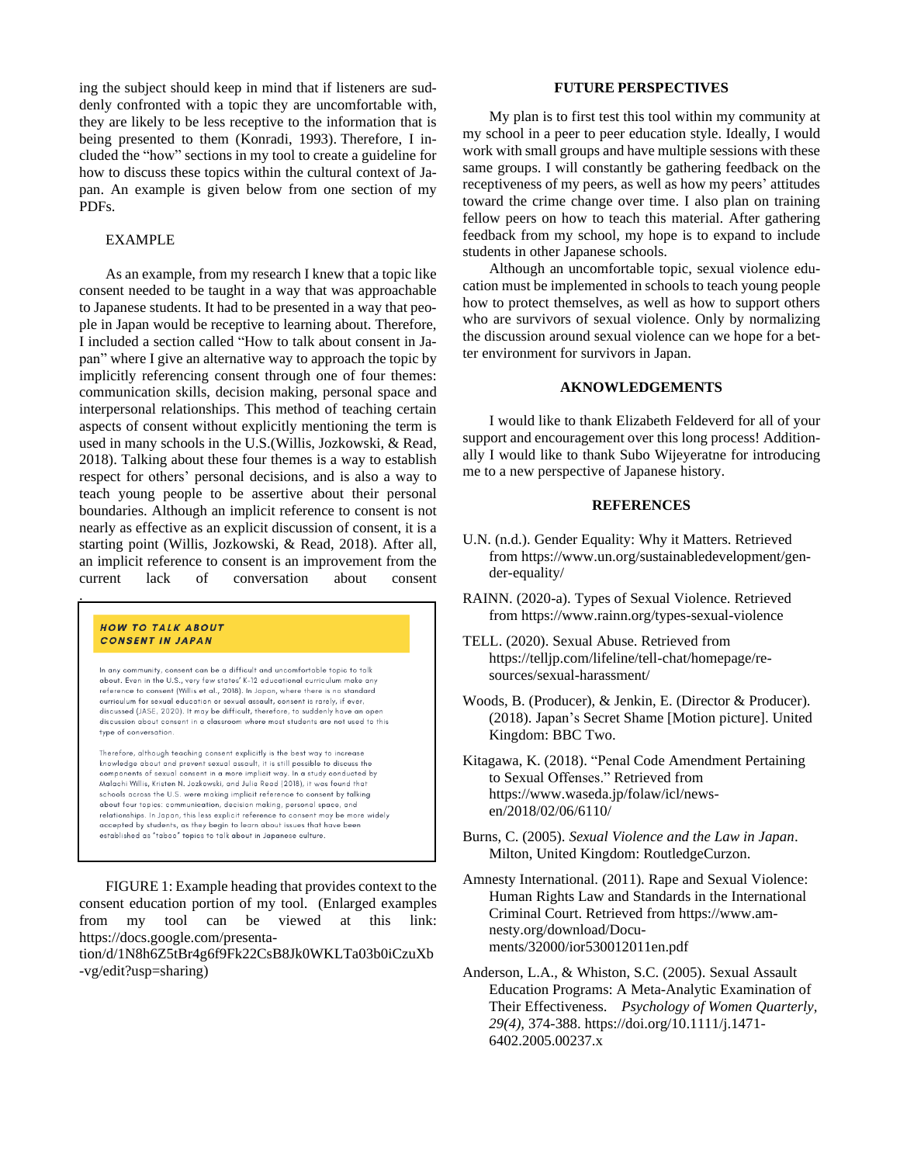ing the subject should keep in mind that if listeners are suddenly confronted with a topic they are uncomfortable with, they are likely to be less receptive to the information that is being presented to them (Konradi, 1993). Therefore, I included the "how" sections in my tool to create a guideline for how to discuss these topics within the cultural context of Japan. An example is given below from one section of my PDFs.

## EXAMPLE

As an example, from my research I knew that a topic like consent needed to be taught in a way that was approachable to Japanese students. It had to be presented in a way that people in Japan would be receptive to learning about. Therefore, I included a section called "How to talk about consent in Japan" where I give an alternative way to approach the topic by implicitly referencing consent through one of four themes: communication skills, decision making, personal space and interpersonal relationships. This method of teaching certain aspects of consent without explicitly mentioning the term is used in many schools in the U.S.(Willis, Jozkowski, & Read, 2018). Talking about these four themes is a way to establish respect for others' personal decisions, and is also a way to teach young people to be assertive about their personal boundaries. Although an implicit reference to consent is not nearly as effective as an explicit discussion of consent, it is a starting point (Willis, Jozkowski, & Read, 2018). After all, an implicit reference to consent is an improvement from the current lack of conversation about consent .

#### **HOW TO TALK ABOUT CONSENT IN JAPAN**

In any community, consent can be a difficult and uncomfortable topic to talk about. Even in the U.S., very few states' K-12 educational curriculum make any reference to consent (Willis et al., 2018). In Japan, where there is no standard curriculum for sexual education or sexual assault, consent is rarely, if ever, discussed (JASE, 2020). It may be difficult, therefore, to suddenly have an open discussion about consent in a classroom where most students are not used to this type of conversation.

Therefore, although teaching consent explicitly is the best way to increase knowledge about and prevent sexual assault, it is still possible to discuss the components of sexual consent in a more implicit way. In a study conducted by Malachi Willis, Kristen N. Jozkowski, and Julia Read (2018), it was found that schools across the U.S. were making implicit reference to consent by talking about four topics: communication, decision making, personal space, and relationships. In Japan, this less explicit reference to consent may be more widely accepted by students, as they begin to learn about issues that have been<br>established as "taboo" topics to talk about in Japanese culture.

FIGURE 1: Example heading that provides context to the consent education portion of my tool. (Enlarged examples from my tool can be viewed at this link: [https://docs.google.com/presenta-](https://docs.google.com/presentation/d/1N8h6Z5tBr4g6f9Fk22CsB8Jk0WKLTa03b0iCzuXb-vg/edit?usp=sharing)

[tion/d/1N8h6Z5tBr4g6f9Fk22CsB8Jk0WKLTa03b0iCzuXb](https://docs.google.com/presentation/d/1N8h6Z5tBr4g6f9Fk22CsB8Jk0WKLTa03b0iCzuXb-vg/edit?usp=sharing) [-vg/edit?usp=sharing\)](https://docs.google.com/presentation/d/1N8h6Z5tBr4g6f9Fk22CsB8Jk0WKLTa03b0iCzuXb-vg/edit?usp=sharing)

## **FUTURE PERSPECTIVES**

My plan is to first test this tool within my community at my school in a peer to peer education style. Ideally, I would work with small groups and have multiple sessions with these same groups. I will constantly be gathering feedback on the receptiveness of my peers, as well as how my peers' attitudes toward the crime change over time. I also plan on training fellow peers on how to teach this material. After gathering feedback from my school, my hope is to expand to include students in other Japanese schools.

Although an uncomfortable topic, sexual violence education must be implemented in schools to teach young people how to protect themselves, as well as how to support others who are survivors of sexual violence. Only by normalizing the discussion around sexual violence can we hope for a better environment for survivors in Japan.

## **AKNOWLEDGEMENTS**

I would like to thank Elizabeth Feldeverd for all of your support and encouragement over this long process! Additionally I would like to thank Subo Wijeyeratne for introducing me to a new perspective of Japanese history.

### **REFERENCES**

- U.N. (n.d.). Gender Equality: Why it Matters. Retrieved from [https://www.un.org/sustainabledevelopment/gen](https://www.un.org/sustainabledevelopment/gender-equality/)[der-equality/](https://www.un.org/sustainabledevelopment/gender-equality/)
- RAINN. (2020-a). Types of Sexual Violence. Retrieved from <https://www.rainn.org/types-sexual-violence>
- TELL. (2020). Sexual Abuse. Retrieved from [https://telljp.com/lifeline/tell-chat/homepage/re](https://telljp.com/lifeline/tell-chat/homepage/resources/sexual-harassment/)[sources/sexual-harassment/](https://telljp.com/lifeline/tell-chat/homepage/resources/sexual-harassment/)
- Woods, B. (Producer), & Jenkin, E. (Director & Producer). (2018). Japan's Secret Shame [Motion picture]. United Kingdom: BBC Two.
- Kitagawa, K. (2018). "Penal Code Amendment Pertaining to Sexual Offenses." Retrieved from [https://www.waseda.jp/folaw/icl/news](https://www.waseda.jp/folaw/icl/news-en/2018/02/06/6110/)[en/2018/02/06/6110/](https://www.waseda.jp/folaw/icl/news-en/2018/02/06/6110/)
- Burns, C. (2005). *Sexual Violence and the Law in Japan*. Milton, United Kingdom: RoutledgeCurzon.

Amnesty International. (2011). Rape and Sexual Violence: Human Rights Law and Standards in the International Criminal Court. Retrieved from [https://www.am](https://www.amnesty.org/download/Documents/32000/ior530012011en.pdf)[nesty.org/download/Docu](https://www.amnesty.org/download/Documents/32000/ior530012011en.pdf)[ments/32000/ior530012011en.pdf](https://www.amnesty.org/download/Documents/32000/ior530012011en.pdf)

Anderson, L.A., & Whiston, S.C. (2005). Sexual Assault Education Programs: A Meta-Analytic Examination of Their Effectiveness. *Psychology of Women Quarterly, 29(4),* 374-388. [https://doi.org/10.1111/j.1471-](https://doi.org/10.1111%25252Fj.1471-6402.2005.00237.x) [6402.2005.00237.x](https://doi.org/10.1111%25252Fj.1471-6402.2005.00237.x)